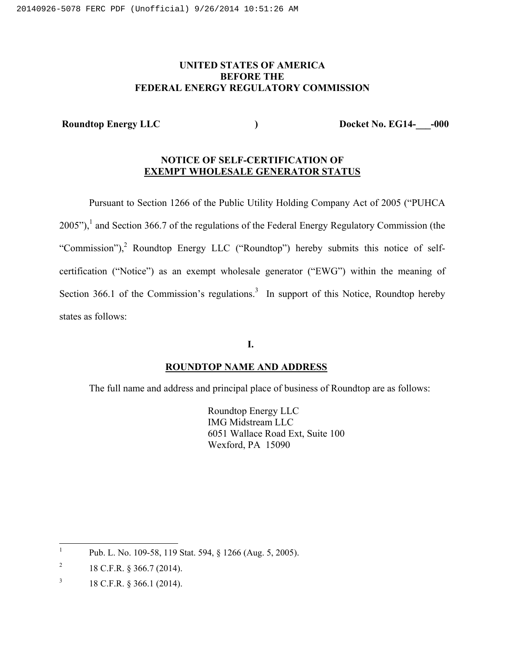## **UNITED STATES OF AMERICA BEFORE THE FEDERAL ENERGY REGULATORY COMMISSION**

Roundtop Energy LLC (and a set of the set of the set of the set of the set of the set of the set of the set of the set of the set of the set of the set of the set of the set of the set of the set of the set of the set of t

# **NOTICE OF SELF-CERTIFICATION OF EXEMPT WHOLESALE GENERATOR STATUS**

Pursuant to Section 1266 of the Public Utility Holding Company Act of 2005 ("PUHCA  $2005$ "),<sup>1</sup> and Section 366.7 of the regulations of the Federal Energy Regulatory Commission (the "Commission"),<sup>2</sup> Roundtop Energy LLC ("Roundtop") hereby submits this notice of selfcertification ("Notice") as an exempt wholesale generator ("EWG") within the meaning of Section 366.1 of the Commission's regulations.<sup>3</sup> In support of this Notice, Roundtop hereby states as follows:

### **I.**

## **ROUNDTOP NAME AND ADDRESS**

The full name and address and principal place of business of Roundtop are as follows:

Roundtop Energy LLC IMG Midstream LLC 6051 Wallace Road Ext, Suite 100 Wexford, PA 15090

 $\frac{1}{1}$ Pub. L. No. 109-58, 119 Stat. 594, § 1266 (Aug. 5, 2005).

<sup>2</sup> 18 C.F.R. § 366.7 (2014).

<sup>3</sup> 18 C.F.R. § 366.1 (2014).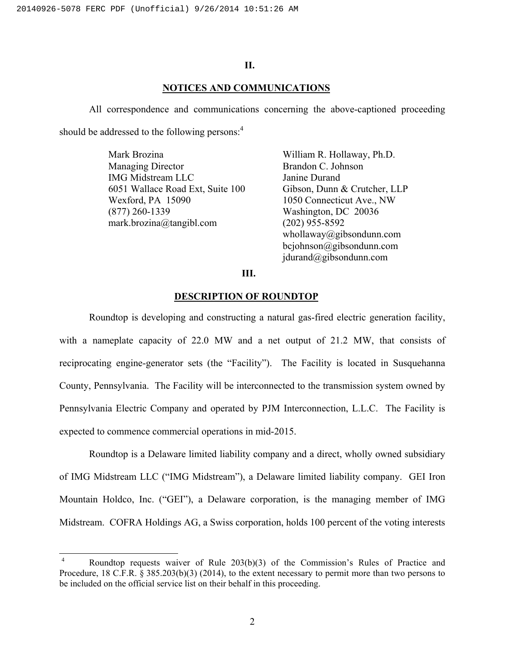## **II.**

## **NOTICES AND COMMUNICATIONS**

All correspondence and communications concerning the above-captioned proceeding should be addressed to the following persons:<sup>4</sup>

> Mark Brozina Managing Director IMG Midstream LLC 6051 Wallace Road Ext, Suite 100 Wexford, PA 15090 (877) 260-1339 mark.brozina@tangibl.com

William R. Hollaway, Ph.D. Brandon C. Johnson Janine Durand Gibson, Dunn & Crutcher, LLP 1050 Connecticut Ave., NW Washington, DC 20036 (202) 955-8592 whollaway@gibsondunn.com bcjohnson@gibsondunn.com jdurand@gibsondunn.com

## **III.**

#### **DESCRIPTION OF ROUNDTOP**

Roundtop is developing and constructing a natural gas-fired electric generation facility, with a nameplate capacity of 22.0 MW and a net output of 21.2 MW, that consists of reciprocating engine-generator sets (the "Facility"). The Facility is located in Susquehanna County, Pennsylvania. The Facility will be interconnected to the transmission system owned by Pennsylvania Electric Company and operated by PJM Interconnection, L.L.C. The Facility is expected to commence commercial operations in mid-2015.

Roundtop is a Delaware limited liability company and a direct, wholly owned subsidiary of IMG Midstream LLC ("IMG Midstream"), a Delaware limited liability company. GEI Iron Mountain Holdco, Inc. ("GEI"), a Delaware corporation, is the managing member of IMG Midstream. COFRA Holdings AG, a Swiss corporation, holds 100 percent of the voting interests

 4 Roundtop requests waiver of Rule 203(b)(3) of the Commission's Rules of Practice and Procedure, 18 C.F.R. § 385.203(b)(3) (2014), to the extent necessary to permit more than two persons to be included on the official service list on their behalf in this proceeding.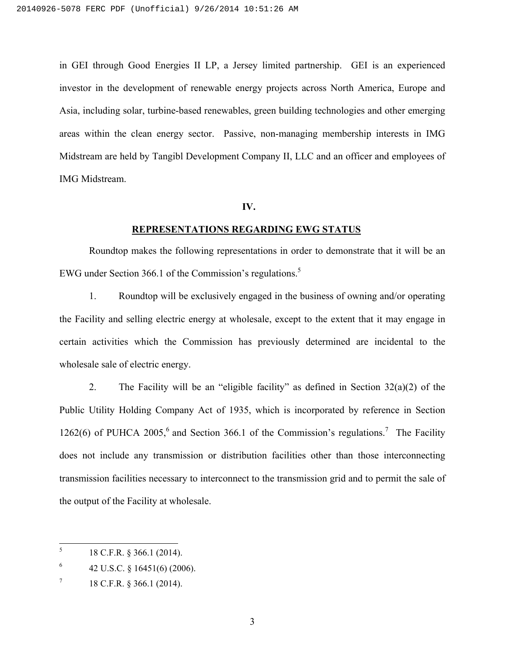in GEI through Good Energies II LP, a Jersey limited partnership. GEI is an experienced investor in the development of renewable energy projects across North America, Europe and Asia, including solar, turbine-based renewables, green building technologies and other emerging areas within the clean energy sector. Passive, non-managing membership interests in IMG Midstream are held by Tangibl Development Company II, LLC and an officer and employees of IMG Midstream.

#### **IV.**

#### **REPRESENTATIONS REGARDING EWG STATUS**

Roundtop makes the following representations in order to demonstrate that it will be an EWG under Section 366.1 of the Commission's regulations.<sup>5</sup>

1. Roundtop will be exclusively engaged in the business of owning and/or operating the Facility and selling electric energy at wholesale, except to the extent that it may engage in certain activities which the Commission has previously determined are incidental to the wholesale sale of electric energy.

2. The Facility will be an "eligible facility" as defined in Section  $32(a)(2)$  of the Public Utility Holding Company Act of 1935, which is incorporated by reference in Section 1262(6) of PUHCA 2005,<sup>6</sup> and Section 366.1 of the Commission's regulations.<sup>7</sup> The Facility does not include any transmission or distribution facilities other than those interconnecting transmission facilities necessary to interconnect to the transmission grid and to permit the sale of the output of the Facility at wholesale.

 $\frac{1}{5}$ 18 C.F.R. § 366.1 (2014).

<sup>6</sup> 42 U.S.C. § 16451(6) (2006).

<sup>7</sup> 18 C.F.R. § 366.1 (2014).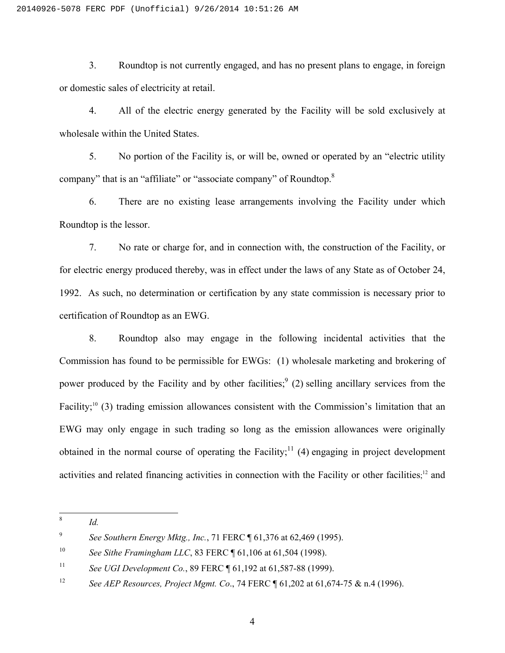3. Roundtop is not currently engaged, and has no present plans to engage, in foreign or domestic sales of electricity at retail.

4. All of the electric energy generated by the Facility will be sold exclusively at wholesale within the United States.

5. No portion of the Facility is, or will be, owned or operated by an "electric utility company" that is an "affiliate" or "associate company" of Roundtop.8

6. There are no existing lease arrangements involving the Facility under which Roundtop is the lessor.

7. No rate or charge for, and in connection with, the construction of the Facility, or for electric energy produced thereby, was in effect under the laws of any State as of October 24, 1992. As such, no determination or certification by any state commission is necessary prior to certification of Roundtop as an EWG.

8. Roundtop also may engage in the following incidental activities that the Commission has found to be permissible for EWGs: (1) wholesale marketing and brokering of power produced by the Facility and by other facilities;  $(2)$  selling ancillary services from the Facility;<sup>10</sup> (3) trading emission allowances consistent with the Commission's limitation that an EWG may only engage in such trading so long as the emission allowances were originally obtained in the normal course of operating the Facility;<sup>11</sup> (4) engaging in project development activities and related financing activities in connection with the Facility or other facilities;<sup>12</sup> and

 $\overline{\phantom{a}}$ 

<sup>8</sup> *Id.* 

<sup>9</sup> *See Southern Energy Mktg., Inc.*, 71 FERC ¶ 61,376 at 62,469 (1995).

<sup>10</sup> *See Sithe Framingham LLC*, 83 FERC ¶ 61,106 at 61,504 (1998).

<sup>11</sup> *See UGI Development Co.*, 89 FERC ¶ 61,192 at 61,587-88 (1999).

<sup>12</sup> *See AEP Resources, Project Mgmt. Co*., 74 FERC ¶ 61,202 at 61,674-75 & n.4 (1996).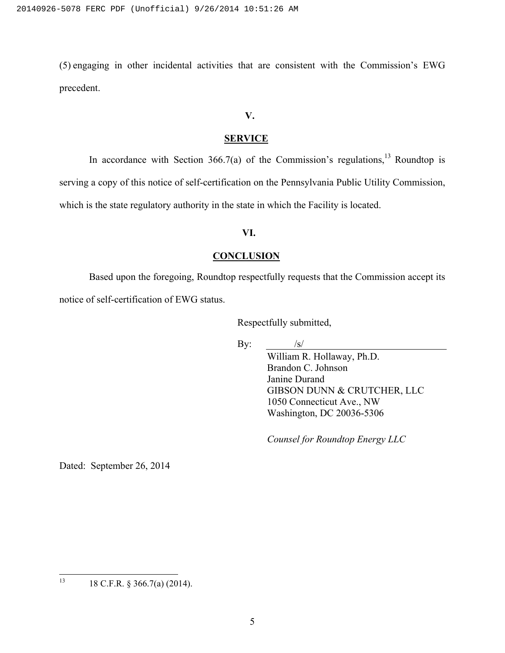(5) engaging in other incidental activities that are consistent with the Commission's EWG precedent.

## **V.**

## **SERVICE**

In accordance with Section 366.7(a) of the Commission's regulations,<sup>13</sup> Roundtop is serving a copy of this notice of self-certification on the Pennsylvania Public Utility Commission, which is the state regulatory authority in the state in which the Facility is located.

## **VI.**

## **CONCLUSION**

Based upon the foregoing, Roundtop respectfully requests that the Commission accept its notice of self-certification of EWG status.

Respectfully submitted,

By:  $/s/$ 

William R. Hollaway, Ph.D. Brandon C. Johnson Janine Durand GIBSON DUNN & CRUTCHER, LLC 1050 Connecticut Ave., NW Washington, DC 20036-5306

*Counsel for Roundtop Energy LLC* 

Dated: September 26, 2014

 $13$ 13 18 C.F.R. § 366.7(a) (2014).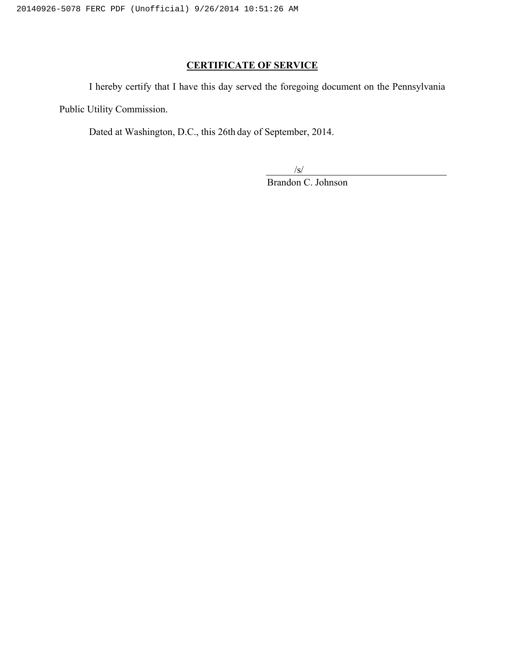# **CERTIFICATE OF SERVICE**

I hereby certify that I have this day served the foregoing document on the Pennsylvania

Public Utility Commission.

Dated at Washington, D.C., this 26th day of September, 2014.

/s/

Brandon C. Johnson